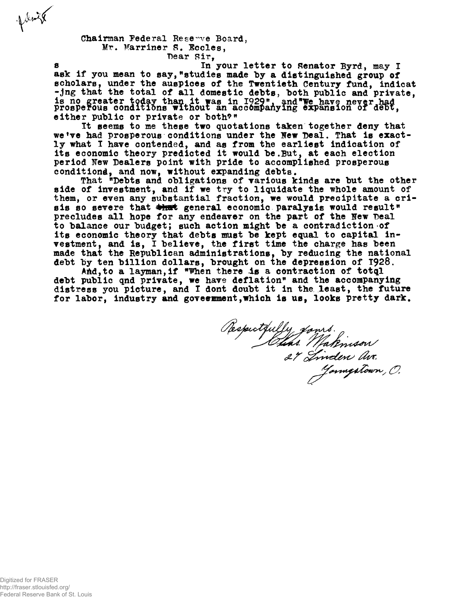**Chairman Federal Reserve Board,** Mr. Marriner S. Eccles,

**"Dear Sir,**

**s In your letter to Senator Byrd, may I** ask if you mean to say, "studies made by a distinguished group of **scholars, under the auspices of the Twentieth Century fund, indicat -jng that the total of all domestic debts, both public and private, is no greater today than it was in 1929% and\*We have never^had prosperous conditions without an accompanying expansion of deox, either public or private or both\*"**

**It seems to me these two quotations taken together deny that we<sup>f</sup>ve had prosperous conditions under the Hew Deal. That is exactly what I have contended, and as from the earliest indication of its economic theory predicted it would be.But, at each election period Few Dealers point with pride to accomplished prosperous** conditiond, and now, without expanding debts.

**That <sup>w</sup>Debts and obligations of various kinds are but the other side of investment, and if we try to liquidate the whole amount of them, or even any substantial fraction, we would precipitate a cri**sis so severe that  $\frac{1}{2}$  seneral economic paralysis would result<sup>\*</sup> **precludes all hope for any endeaver on the part of the Few Deal to balance our budget; such action might be a contradiction of its economic theory that debts must be kept equal to capital investment, and is, I believe, the first time the charge has been made that the Republican administrations, by reducing the national debt by ten billion dollars, brought on the depression of T928,**

**AM,to a layman,if "Vhen there Is a contraction of totql** debt public qnd private, we have deflation" and the accompanying **distress you picture, and I dont doubt it in the least, the future for labor, industry and government,which is us, looks pretty dark.**

Respectfully fours.<br>Elins Makinson<br>27 Tinden av.

**polenik**